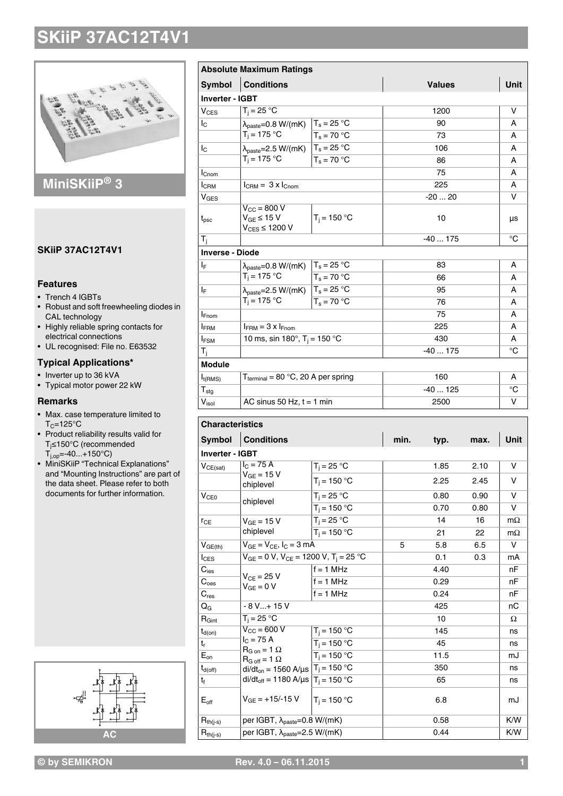

### **MiniSKiiP® 3**

#### **SKiiP 37AC12T4V1**

#### **Features**

- Trench 4 IGBTs
- Robust and soft freewheeling diodes in CAL technology
- Highly reliable spring contacts for
- electrical connections • UL recognised: File no. E63532

### **Typical Applications\***

- Inverter up to 36 kVA
- Typical motor power 22 kW

#### **Remarks**

- Max. case temperature limited to  $T_C = 125$ °C
- Product reliability results valid for Tj≤150°C (recommended  $T_{j,op} = -40...+150°C$
- MiniSKiiP "Technical Explanations" and "Mounting Instructions" are part of the data sheet. Please refer to both documents for further information.



|                              | <b>Absolute Maximum Ratings</b>                                         |                |      |               |      |           |
|------------------------------|-------------------------------------------------------------------------|----------------|------|---------------|------|-----------|
| Symbol                       | <b>Conditions</b>                                                       |                |      | <b>Values</b> |      | Unit      |
| <b>Inverter - IGBT</b>       |                                                                         |                |      |               |      |           |
| $V_{CES}$                    | $T_i = 25 °C$                                                           |                |      | 1200          |      | v         |
| Ιc                           | $\lambda_{\text{paste}} = 0.8 \text{ W/(mK)}$                           | $T_s = 25 °C$  |      | 90            |      | A         |
|                              | $T_i = 175 °C$                                                          | $T_s = 70 °C$  |      | 73            |      | A         |
| Ιc                           | $\lambda_{\text{paste}} = 2.5 \text{ W/(mK)}$                           | $T_s = 25 °C$  |      | 106           |      | A         |
|                              | $T_i = 175 °C$                                                          | $T_s = 70 °C$  |      | 86            |      | A         |
| $I_{\text{Chom}}$            |                                                                         |                |      | 75            |      |           |
| <b>I</b> CRM                 | $I_{\text{CRM}} = 3 \times I_{\text{Cnom}}$                             |                |      | 225           |      |           |
| $V_{\text{GES}}$             |                                                                         |                |      | $-2020$       |      | v         |
| $t_{\mathsf{psc}}$           | $V_{\text{CC}} = 800 V$<br>$V_{GE} \leq 15 V$<br>$\rm V_{CES}$ ≤ 1200 V | $T_j = 150 °C$ |      | 10            |      | μs        |
| Тì                           |                                                                         |                |      | $-40175$      |      | °C        |
| <b>Inverse - Diode</b>       |                                                                         |                |      |               |      |           |
| $\mathsf{I}_\mathsf{F}$      | $\lambda_{\text{paste}} = 0.8 \text{ W/(mK)}$                           | $T_s = 25 °C$  |      | 83            |      | A         |
|                              | $T_i = 175 °C$                                                          | $T_s = 70 °C$  |      | 66            |      | A         |
| ΙF                           | $\lambda_{\text{paste}} = 2.5 \text{ W/(mK)}$                           | $T_s = 25 °C$  |      | 95            |      | A         |
|                              | $T_i = 175 °C$                                                          | $T_s = 70 °C$  |      | 76            |      | A         |
| <b>I</b> Fnom                |                                                                         |                |      | 75            |      | A         |
| <b>IFRM</b>                  | $I_{FRM} = 3 \times I_{Fnom}$                                           |                |      | 225           |      |           |
| <b>IFSM</b>                  | 10 ms, sin 180°, T <sub>i</sub> = 150 °C                                |                |      | 430           |      |           |
| T <sub>i</sub>               |                                                                         |                |      | $-40175$      |      |           |
| <b>Module</b>                |                                                                         |                |      |               |      |           |
| $I_{t(RMS)}$                 | $T_{\text{terminal}} = 80 \text{ °C}, 20 \text{ A per spring}$          |                |      | 160           |      |           |
| $\mathsf{T}_{\text{stg}}$    |                                                                         |                |      | $-40125$      |      |           |
| $\mathsf{V}_{\mathsf{isol}}$ | AC sinus 50 Hz, $t = 1$ min                                             |                |      | 2500          |      | v         |
|                              |                                                                         |                |      |               |      |           |
| <b>Characteristics</b>       |                                                                         |                |      |               |      |           |
| <b>Symbol</b>                | <b>Conditions</b>                                                       |                | min. | typ.          | max. | Unit      |
| <b>Inverter - IGBT</b>       |                                                                         |                |      |               |      |           |
| $V_{CE(sat)}$                | $IC$ = 75 A                                                             | $T_i = 25 °C$  |      | 1.85          | 2.10 | v         |
|                              | $V_{GE} = 15 V$<br>chiplevel                                            | $T_i = 150 °C$ |      | 2.25          | 2.45 | v         |
| V <sub>CE0</sub>             |                                                                         | $T_i = 25 °C$  |      | 0.80          | 0.90 | V         |
|                              | chiplevel                                                               | $T_i = 150 °C$ |      | 0.70          | 0.80 | v         |
| $r_{CE}$                     | $V_{GE}$ = 15 V                                                         | $T_i = 25 °C$  |      | 14            | 16   | $m\Omega$ |
|                              | chiplevel                                                               | $T_i = 150 °C$ |      | 21            | 22   | $m\Omega$ |
| $V_{GE(th)}$                 | $V_{GE} = V_{CE}$ , $I_C = 3$ mA                                        |                | 5    | 5.8           | 6.5  | V         |
| $I_{CES}$                    | $V_{GE} = 0 V$ , $V_{CE} = 1200 V$ , $T_i = 25 °C$                      |                |      | 0.1           | 0.3  | mA        |
| $\mathbf{C}_{\text{ies}}$    |                                                                         | $f = 1$ MHz    |      | 4.40          |      | nF        |
| $C_{\rm {oes}}$              | $V_{CE} = 25 V$                                                         | $f = 1$ MHz    |      | 0.29          |      | nF        |
| $\mathbf{C}_{\text{res}}$    | $V_{GE} = 0 V$                                                          | $f = 1$ MHz    |      | 0.24          |      | nF        |
| QG                           | - 8 V+ 15 V                                                             |                |      | 425           |      | nС        |
| $R_{Gint}$                   | $T_i = 25 °C$                                                           |                | 10   |               | Ω    |           |
| $t_{d(on)}$                  | $V_{\text{CC}}$ = 600 V                                                 | $T_i$ = 150 °C |      | 145           |      | ns        |
| t,                           | $I_C = 75 A$                                                            | $T_i = 150 °C$ |      | 45            |      | ns        |
| $E_{on}$                     | $R_{G \text{ on}} = 1 \Omega$<br>$R_{G \text{ off}} = 1 \Omega$         | $T_i = 150 °C$ |      | 11.5          |      | mJ        |
| $t_{d(\text{off})}$          | $di/dt_{on} = 1560 \text{ A/}\mu\text{s}$ $T_j = 150 \text{ °C}$        |                |      | 350           |      | ns        |
| t <sub>f</sub>               | di/dt <sub>off</sub> = 1180 A/ $\mu$ s   T <sub>i</sub> = 150 °C        |                |      | 65            |      | ns        |
| $\mathsf{E}_{\mathsf{off}}$  | $V_{GE}$ = +15/-15 V                                                    | $T_i = 150 °C$ |      | 6.8           |      | mJ        |
| $R_{th(j-s)}$                | per IGBT, λ <sub>paste</sub> =0.8 W/(mK)                                |                |      | 0.58          |      |           |

 $R_{th(j-s)}$  per IGBT,  $\lambda_{\text{paste}} = 2.5 \text{ W/(mK)}$  0.44 K/W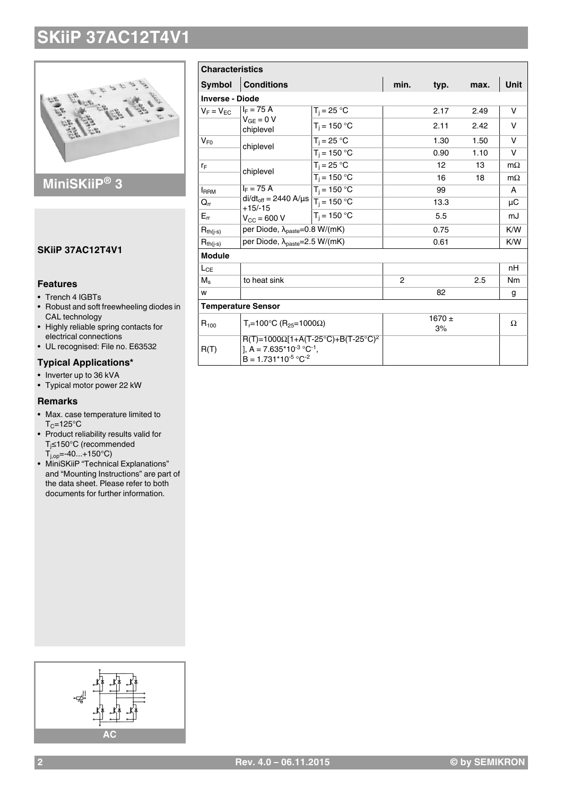

### **MiniSKiiP® 3**

#### **SKiiP 37AC12T4V1**

#### **Features**

- Trench 4 IGBTs
- Robust and soft freewheeling diodes in CAL technology
- Highly reliable spring contacts for
- electrical connections • UL recognised: File no. E63532

### **Typical Applications\***

- Inverter up to 36 kVA
- Typical motor power 22 kW

#### **Remarks**

- Max. case temperature limited to  $T_C = 125$ °C
- Product reliability results valid for Tj≤150°C (recommended  $T_{j,op} = -40...+150°C$
- MiniSKiiP "Technical Explanations" and "Mounting Instructions" are part of the data sheet. Please refer to both documents for further information.

| <b>Characteristics</b>     |                                                                                                                        |                |                |                  |             |                |  |  |  |  |
|----------------------------|------------------------------------------------------------------------------------------------------------------------|----------------|----------------|------------------|-------------|----------------|--|--|--|--|
| <b>Symbol</b>              | <b>Conditions</b>                                                                                                      | min.           | typ.           | max.             | <b>Unit</b> |                |  |  |  |  |
| <b>Inverse - Diode</b>     |                                                                                                                        |                |                |                  |             |                |  |  |  |  |
| $V_F = V_{EC}$             | $I_F = 75 A$<br>$V_{GE} = 0 V$<br>chiplevel                                                                            | $T_i = 25 °C$  |                | 2.17             | 2.49        | v              |  |  |  |  |
|                            |                                                                                                                        | $T_i = 150 °C$ |                | 2.11             | 2.42        | $\vee$         |  |  |  |  |
| $V_{F0}$                   | chiplevel                                                                                                              | $T_i = 25 °C$  |                | 1.30             | 1.50        | V              |  |  |  |  |
|                            |                                                                                                                        | $T_i = 150 °C$ |                | 0.90             | 1.10        | v              |  |  |  |  |
| $r_F$                      | chiplevel                                                                                                              | $T_i = 25 °C$  |                | 12               | 13          | $m\Omega$      |  |  |  |  |
|                            |                                                                                                                        | $T_i = 150 °C$ |                | 16               | 18          | $m\Omega$      |  |  |  |  |
| <b>I</b> RRM               | $I_F = 75 A$<br>$di/dt_{off} = 2440 \text{ A/}\mu\text{s}$ $\boxed{T_i = 150 \text{ °C}}$<br>$+15/ -15$                | $T_i = 150 °C$ |                | 99               |             | A              |  |  |  |  |
| $\mathsf{Q}_{\mathsf{rr}}$ |                                                                                                                        |                |                | 13.3             |             | μC             |  |  |  |  |
| $E_{rr}$                   | $V_{CC} = 600 V$                                                                                                       | $T_i = 150 °C$ |                | 5.5              |             | mJ             |  |  |  |  |
| $R_{th(j-s)}$              | per Diode, $\lambda_{\text{paste}} = 0.8 \text{ W/(mK)}$                                                               |                |                | 0.75             |             | K/W            |  |  |  |  |
| $R_{th(i-s)}$              | per Diode, $\lambda_{\text{paste}} = 2.5 \text{ W/(mK)}$                                                               |                |                | 0.61             |             | K/W            |  |  |  |  |
| <b>Module</b>              |                                                                                                                        |                |                |                  |             |                |  |  |  |  |
| $L_{CE}$                   |                                                                                                                        |                |                |                  |             | nH             |  |  |  |  |
| $M_s$                      | to heat sink                                                                                                           |                | $\overline{2}$ |                  | 2.5         | N <sub>m</sub> |  |  |  |  |
| w                          |                                                                                                                        |                |                | 82               |             | g              |  |  |  |  |
|                            | <b>Temperature Sensor</b>                                                                                              |                |                |                  |             |                |  |  |  |  |
| $R_{100}$                  | $T_r = 100°C$ (R <sub>25</sub> =1000Ω)                                                                                 |                |                | $1670 \pm$<br>3% |             | Ω              |  |  |  |  |
| R(T)                       | $R(T)=1000\Omega[1+A(T-25^{\circ}C)+B(T-25^{\circ}C)^{2}]$<br>], A = $7.635*10^{3} °C^{-1}$ ,<br>$B = 1.731*10-5 °C-2$ |                |                |                  |             |                |  |  |  |  |

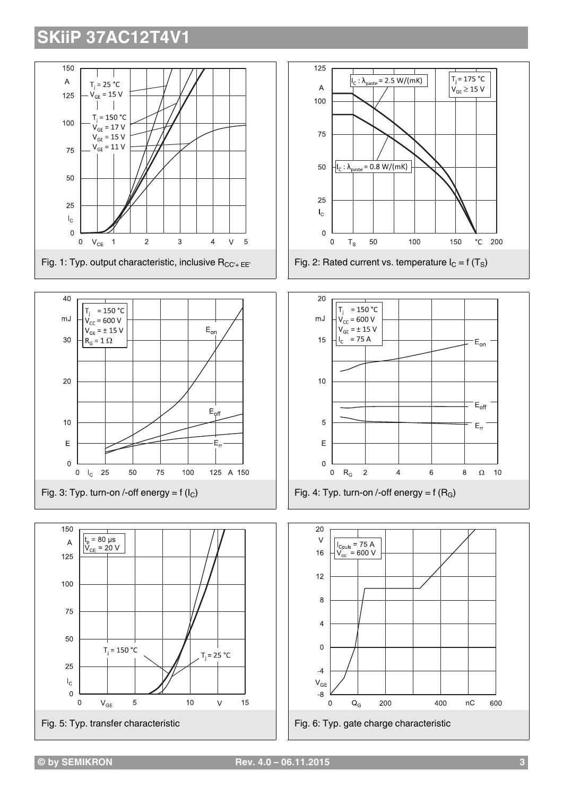









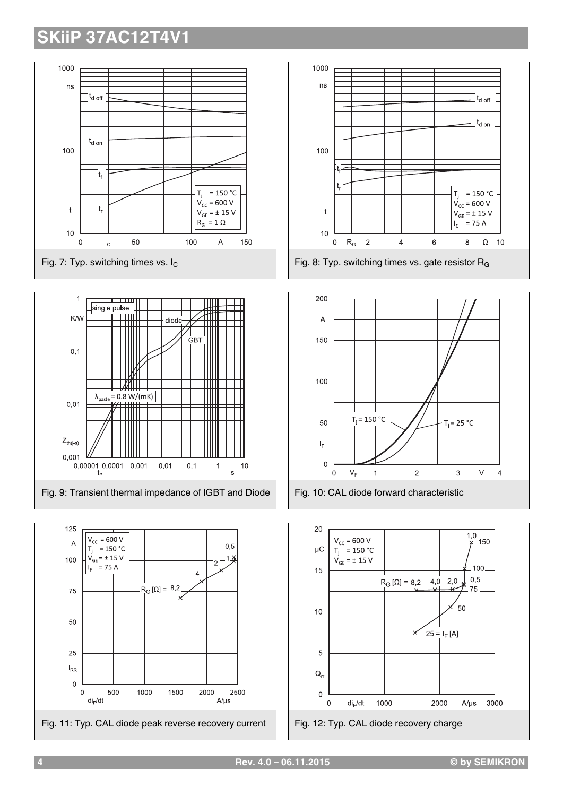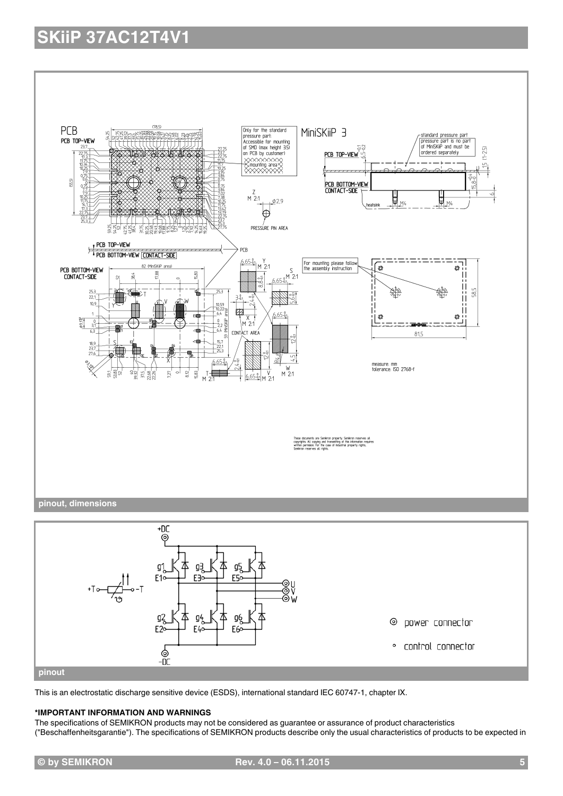

**pinout**

**\*IMPORTANT INFORMATION AND WARNINGS**

\_<br>၁။

("Beschaffenheitsgarantie"). The specifications of SEMIKRON products describe only the usual characteristics of products to be expected in

This is an electrostatic discharge sensitive device (ESDS), international standard IEC 60747-1, chapter IX.

The specifications of SEMIKRON products may not be considered as guarantee or assurance of product characteristics

· control connector